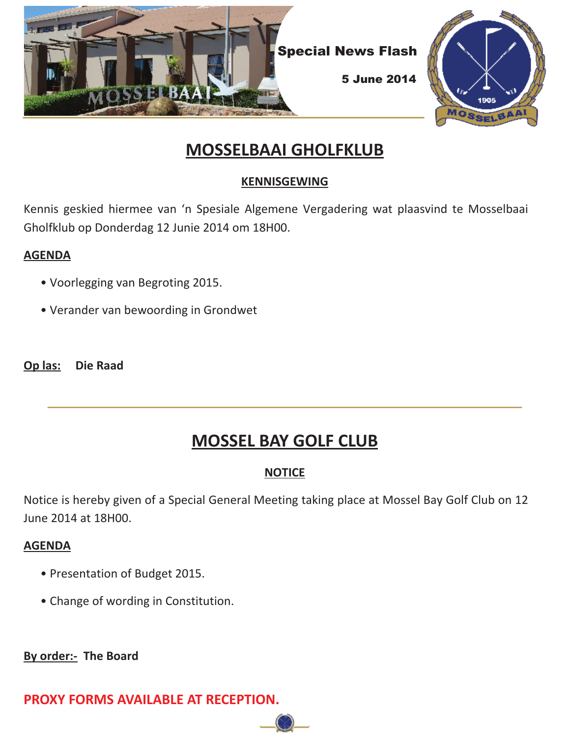

# **MOSSELBAAI GHOLFKLUB**

# **KENNISGEWING**

Kennis geskied hiermee van 'n Spesiale Algemene Vergadering wat plaasvind te Mosselbaai Gholfklub op Donderdag 12 Junie 2014 om 18H00.

### **AGENDA**

- Voorlegging van Begroting 2015.
- Verander van bewoording in Grondwet

**Op las: Die Raad**

# **MOSSEL BAY GOLF CLUB**

# **NOTICE**

Notice is hereby given of a Special General Meeting taking place at Mossel Bay Golf Club on 12 June 2014 at 18H00.

## **AGENDA**

- Presentation of Budget 2015.
- Change of wording in Constitution.

**By order:- The Board**

**PROXY FORMS AVAILABLE AT RECEPTION.**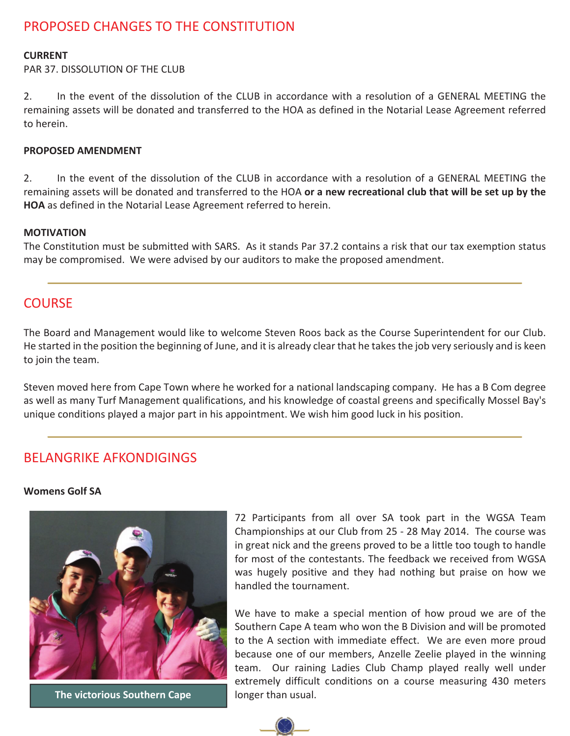# PROPOSED CHANGES TO THE CONSTITUTION

#### **CURRENT**

PAR 37. DISSOLUTION OF THE CLUB

2. In the event of the dissolution of the CLUB in accordance with a resolution of a GENERAL MEETING the remaining assets will be donated and transferred to the HOA as defined in the Notarial Lease Agreement referred to herein.

#### **PROPOSED AMENDMENT**

2. In the event of the dissolution of the CLUB in accordance with a resolution of a GENERAL MEETING the remaining assets will be donated and transferred to the HOA **or a new recreational club that will be set up by the HOA** as defined in the Notarial Lease Agreement referred to herein.

#### **MOTIVATION**

The Constitution must be submitted with SARS. As it stands Par 37.2 contains a risk that our tax exemption status may be compromised. We were advised by our auditors to make the proposed amendment.

### **COURSE**

The Board and Management would like to welcome Steven Roos back as the Course Superintendent for our Club. He started in the position the beginning of June, and it is already clear that he takes the job very seriously and is keen to join the team.

Steven moved here from Cape Town where he worked for a national landscaping company. He has a B Com degree as well as many Turf Management qualifications, and his knowledge of coastal greens and specifically Mossel Bay's unique conditions played a major part in his appointment. We wish him good luck in his position.

### BELANGRIKE AFKONDIGINGS

#### **Womens Golf SA**



**The victorious Southern Cape longer than usual.** 

72 Participants from all over SA took part in the WGSA Team Championships at our Club from 25 - 28 May 2014. The course was in great nick and the greens proved to be a little too tough to handle for most of the contestants. The feedback we received from WGSA was hugely positive and they had nothing but praise on how we handled the tournament.

We have to make a special mention of how proud we are of the Southern Cape A team who won the B Division and will be promoted to the A section with immediate effect. We are even more proud because one of our members, Anzelle Zeelie played in the winning team. Our raining Ladies Club Champ played really well under extremely difficult conditions on a course measuring 430 meters